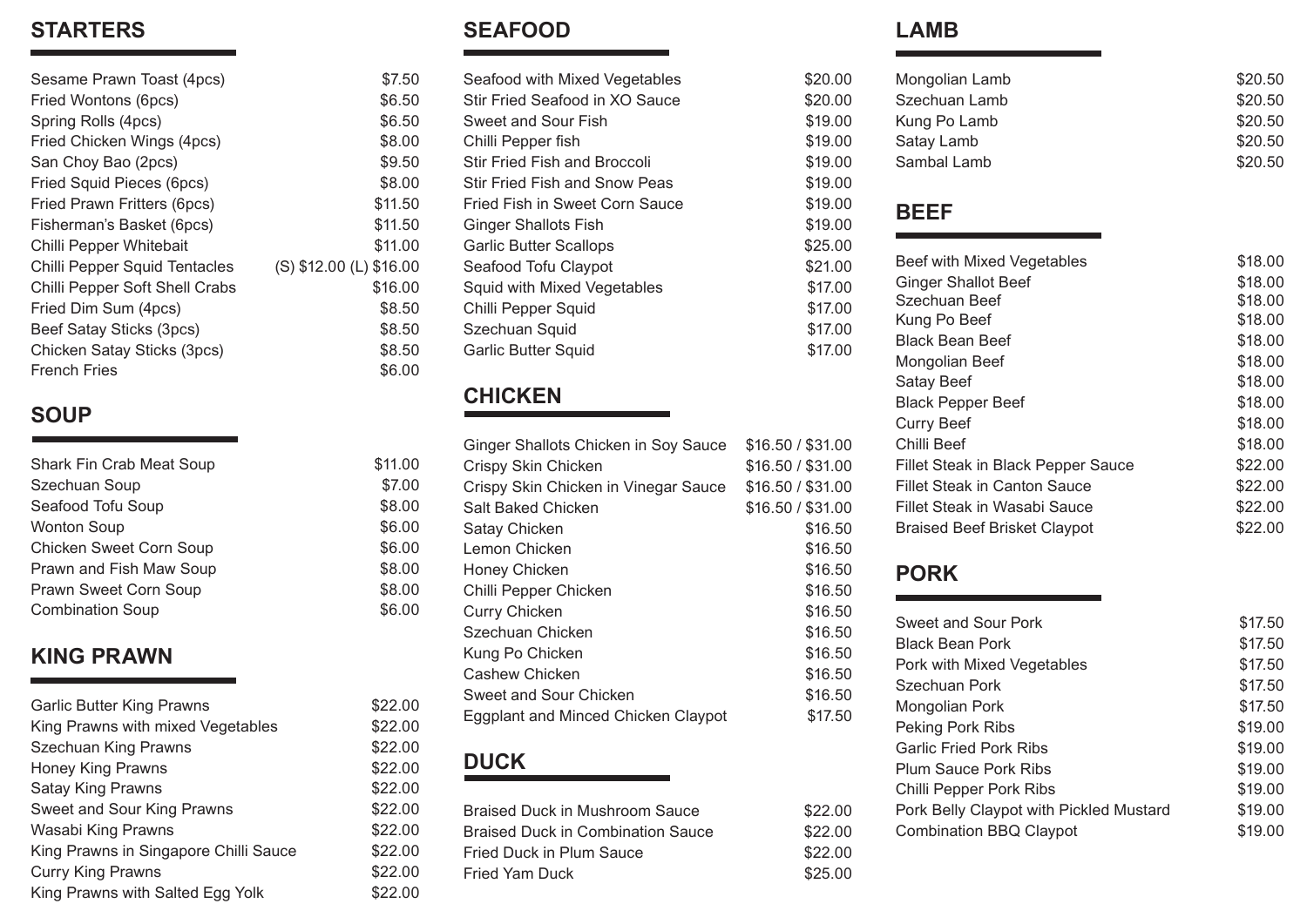#### **STARTERS**

| \$7.50                  |
|-------------------------|
| \$6.50                  |
| \$6.50                  |
| \$8.00                  |
| \$9.50                  |
| \$8.00                  |
| \$11.50                 |
| \$11.50                 |
| \$11.00                 |
| (S) \$12.00 (L) \$16.00 |
| \$16.00                 |
| \$8.50                  |
| \$8.50                  |
| \$8.50                  |
| \$6.00                  |
|                         |

#### **SOUP**

| Shark Fin Crab Meat Soup | \$11.00 |
|--------------------------|---------|
| Szechuan Soup            | \$7.00  |
| Seafood Tofu Soup        | \$8.00  |
| <b>Wonton Soup</b>       | \$6.00  |
| Chicken Sweet Corn Soup  | \$6.00  |
| Prawn and Fish Maw Soup  | \$8.00  |
| Prawn Sweet Corn Soup    | \$8.00  |
| <b>Combination Soup</b>  | \$6.00  |
|                          |         |

#### **KING PRAWN**

| <b>Garlic Butter King Prawns</b>      | \$22.00 |
|---------------------------------------|---------|
| King Prawns with mixed Vegetables     | \$22.00 |
| Szechuan King Prawns                  | \$22.00 |
| <b>Honey King Prawns</b>              | \$22.00 |
| <b>Satay King Prawns</b>              | \$22.00 |
| Sweet and Sour King Prawns            | \$22.00 |
| Wasabi King Prawns                    | \$22.00 |
| King Prawns in Singapore Chilli Sauce | \$22.00 |
| <b>Curry King Prawns</b>              | \$22.00 |
| King Prawns with Salted Egg Yolk      | \$22.00 |

#### **SEAFOOD**

| Seafood with Mixed Vegetables        | \$20.00 |
|--------------------------------------|---------|
| Stir Fried Seafood in XO Sauce       | \$20.00 |
| Sweet and Sour Fish                  | \$19.00 |
| Chilli Pepper fish                   | \$19.00 |
| <b>Stir Fried Fish and Broccoli</b>  | \$19.00 |
| <b>Stir Fried Fish and Snow Peas</b> | \$19.00 |
| Fried Fish in Sweet Corn Sauce       | \$19.00 |
| <b>Ginger Shallots Fish</b>          | \$19.00 |
| <b>Garlic Butter Scallops</b>        | \$25.00 |
| Seafood Tofu Claypot                 | \$21.00 |
| Squid with Mixed Vegetables          | \$17.00 |
| Chilli Pepper Squid                  | \$17.00 |
| Szechuan Squid                       | \$17.00 |
| <b>Garlic Butter Squid</b>           | \$17.00 |
|                                      |         |

#### **CHICKEN**

 $$11.00$ 

| Ginger Shallots Chicken in Soy Sauce | \$16.50 / \$31.00 |
|--------------------------------------|-------------------|
| Crispy Skin Chicken                  | \$16.50 / \$31.00 |
| Crispy Skin Chicken in Vinegar Sauce | \$16.50 / \$31.00 |
| Salt Baked Chicken                   | \$16.50 / \$31.00 |
| Satay Chicken                        | \$16.50           |
| Lemon Chicken                        | \$16.50           |
| Honey Chicken                        | \$16.50           |
| Chilli Pepper Chicken                | \$16.50           |
| <b>Curry Chicken</b>                 | \$16.50           |
| Szechuan Chicken                     | \$16.50           |
| Kung Po Chicken                      | \$16.50           |
| Cashew Chicken                       | \$16.50           |
| Sweet and Sour Chicken               | \$16.50           |
| Eggplant and Minced Chicken Claypot  | \$17.50           |
|                                      |                   |

# **DUCK**

| Braised Duck in Mushroom Sauce           |  |
|------------------------------------------|--|
| <b>Braised Duck in Combination Sauce</b> |  |
| Fried Duck in Plum Sauce                 |  |
| <b>Fried Yam Duck</b>                    |  |
|                                          |  |

#### **LAMB**

 $$20.00$  $$20.00$  $$19.00$ <br> $$19.00$ 

 $$19.00$  $$19.00$ 

 $$25.00$  $$21.00$  $$17.00$  $$17.00$  $$17.00$  $$17.00$ 

 $$22.00$ \$22.00  $$22.00$  $$25.00$ 

| \$20.50<br>\$20.50<br>\$20.50                                                                                                                          |
|--------------------------------------------------------------------------------------------------------------------------------------------------------|
|                                                                                                                                                        |
| \$18.00<br>\$18.00<br>\$18.00<br>\$18.00<br>\$18.00<br>\$18.00<br>\$18.00<br>\$18.00<br>\$18.00<br>\$18.00<br>\$22.00<br>\$22.00<br>\$22.00<br>\$22.00 |
|                                                                                                                                                        |
| \$17.50<br>\$17.50<br>\$17.50<br>\$17.50                                                                                                               |
|                                                                                                                                                        |

Chilli Pepper Pork Ribs \$19.00 Pork Belly Claypot with Pickled Mustard \$19.00 Combination BBQ Claypot \$19.00